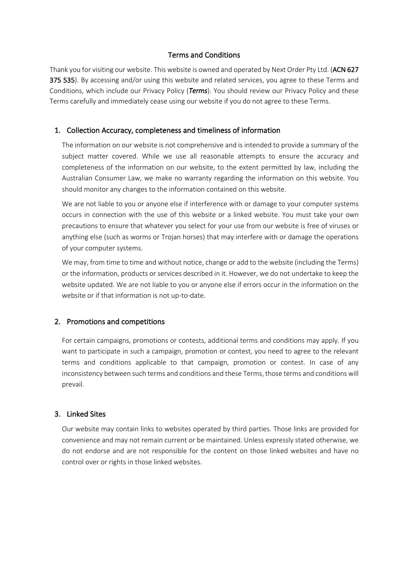## Terms and Conditions

Thank you for visiting our website. This website is owned and operated by Next Order Pty Ltd. (ACN 627 375 535). By accessing and/or using this website and related services, you agree to these Terms and Conditions, which include our Privacy Policy (*Terms*). You should review our Privacy Policy and these Terms carefully and immediately cease using our website if you do not agree to these Terms.

#### 1. Collection Accuracy, completeness and timeliness of information

The information on our website is not comprehensive and is intended to provide a summary of the subject matter covered. While we use all reasonable attempts to ensure the accuracy and completeness of the information on our website, to the extent permitted by law, including the Australian Consumer Law, we make no warranty regarding the information on this website. You should monitor any changes to the information contained on this website.

We are not liable to you or anyone else if interference with or damage to your computer systems occurs in connection with the use of this website or a linked website. You must take your own precautions to ensure that whatever you select for your use from our website is free of viruses or anything else (such as worms or Trojan horses) that may interfere with or damage the operations of your computer systems.

We may, from time to time and without notice, change or add to the website (including the Terms) or the information, products or services described in it. However, we do not undertake to keep the website updated. We are not liable to you or anyone else if errors occur in the information on the website or if that information is not up-to-date.

#### 2. Promotions and competitions

For certain campaigns, promotions or contests, additional terms and conditions may apply. If you want to participate in such a campaign, promotion or contest, you need to agree to the relevant terms and conditions applicable to that campaign, promotion or contest. In case of any inconsistency between such terms and conditions and these Terms, those terms and conditions will prevail.

# 3. Linked Sites

Our website may contain links to websites operated by third parties. Those links are provided for convenience and may not remain current or be maintained. Unless expressly stated otherwise, we do not endorse and are not responsible for the content on those linked websites and have no control over or rights in those linked websites.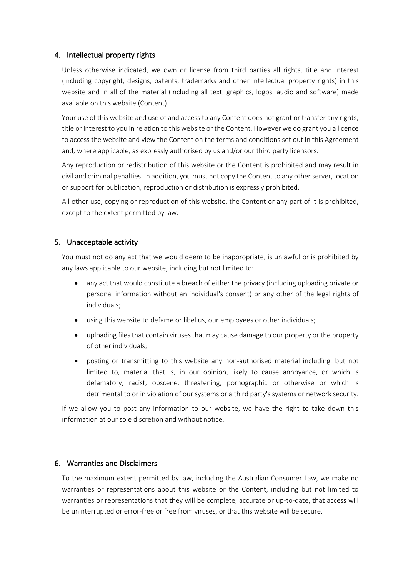## 4. Intellectual property rights

Unless otherwise indicated, we own or license from third parties all rights, title and interest (including copyright, designs, patents, trademarks and other intellectual property rights) in this website and in all of the material (including all text, graphics, logos, audio and software) made available on this website (Content).

Your use of this website and use of and access to any Content does not grant or transfer any rights, title or interest to you in relation to this website or the Content. However we do grant you a licence to access the website and view the Content on the terms and conditions set out in this Agreement and, where applicable, as expressly authorised by us and/or our third party licensors.

Any reproduction or redistribution of this website or the Content is prohibited and may result in civil and criminal penalties. In addition, you must not copy the Content to any other server, location or support for publication, reproduction or distribution is expressly prohibited.

All other use, copying or reproduction of this website, the Content or any part of it is prohibited, except to the extent permitted by law.

## 5. Unacceptable activity

You must not do any act that we would deem to be inappropriate, is unlawful or is prohibited by any laws applicable to our website, including but not limited to:

- any act that would constitute a breach of either the privacy (including uploading private or personal information without an individual's consent) or any other of the legal rights of individuals;
- using this website to defame or libel us, our employees or other individuals;
- uploading files that contain viruses that may cause damage to our property or the property of other individuals;
- posting or transmitting to this website any non-authorised material including, but not limited to, material that is, in our opinion, likely to cause annoyance, or which is defamatory, racist, obscene, threatening, pornographic or otherwise or which is detrimental to or in violation of our systems or a third party's systems or network security.

If we allow you to post any information to our website, we have the right to take down this information at our sole discretion and without notice.

#### 6. Warranties and Disclaimers

To the maximum extent permitted by law, including the Australian Consumer Law, we make no warranties or representations about this website or the Content, including but not limited to warranties or representations that they will be complete, accurate or up-to-date, that access will be uninterrupted or error-free or free from viruses, or that this website will be secure.